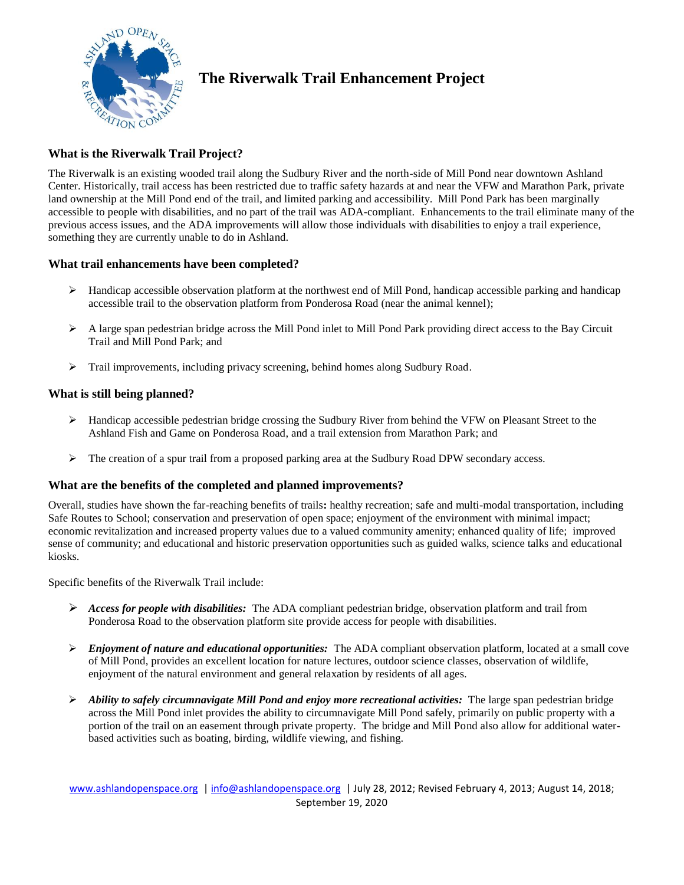

# **The Riverwalk Trail Enhancement Project**

### **What is the Riverwalk Trail Project?**

The Riverwalk is an existing wooded trail along the Sudbury River and the north-side of Mill Pond near downtown Ashland Center. Historically, trail access has been restricted due to traffic safety hazards at and near the VFW and Marathon Park, private land ownership at the Mill Pond end of the trail, and limited parking and accessibility. Mill Pond Park has been marginally accessible to people with disabilities, and no part of the trail was ADA-compliant. Enhancements to the trail eliminate many of the previous access issues, and the ADA improvements will allow those individuals with disabilities to enjoy a trail experience, something they are currently unable to do in Ashland.

#### **What trail enhancements have been completed?**

- $\triangleright$  Handicap accessible observation platform at the northwest end of Mill Pond, handicap accessible parking and handicap accessible trail to the observation platform from Ponderosa Road (near the animal kennel);
- $\triangleright$  A large span pedestrian bridge across the Mill Pond inlet to Mill Pond Park providing direct access to the Bay Circuit Trail and Mill Pond Park; and
- > Trail improvements, including privacy screening, behind homes along Sudbury Road.

#### **What is still being planned?**

- Handicap accessible pedestrian bridge crossing the Sudbury River from behind the VFW on Pleasant Street to the Ashland Fish and Game on Ponderosa Road, and a trail extension from Marathon Park; and
- The creation of a spur trail from a proposed parking area at the Sudbury Road DPW secondary access.

#### **What are the benefits of the completed and planned improvements?**

Overall, studies have shown the far-reaching benefits of trails**:** healthy recreation; safe and multi-modal transportation, including Safe Routes to School; conservation and preservation of open space; enjoyment of the environment with minimal impact; economic revitalization and increased property values due to a valued community amenity; enhanced quality of life; improved sense of community; and educational and historic preservation opportunities such as guided walks, science talks and educational kiosks.

Specific benefits of the Riverwalk Trail include:

- *Access for people with disabilities:* The ADA compliant pedestrian bridge, observation platform and trail from Ponderosa Road to the observation platform site provide access for people with disabilities.
- *Enjoyment of nature and educational opportunities:* The ADA compliant observation platform, located at a small cove of Mill Pond, provides an excellent location for nature lectures, outdoor science classes, observation of wildlife, enjoyment of the natural environment and general relaxation by residents of all ages.
- $\triangleright$  *Ability to safely circumnavigate Mill Pond and enjoy more recreational activities:* The large span pedestrian bridge across the Mill Pond inlet provides the ability to circumnavigate Mill Pond safely, primarily on public property with a portion of the trail on an easement through private property. The bridge and Mill Pond also allow for additional waterbased activities such as boating, birding, wildlife viewing, and fishing.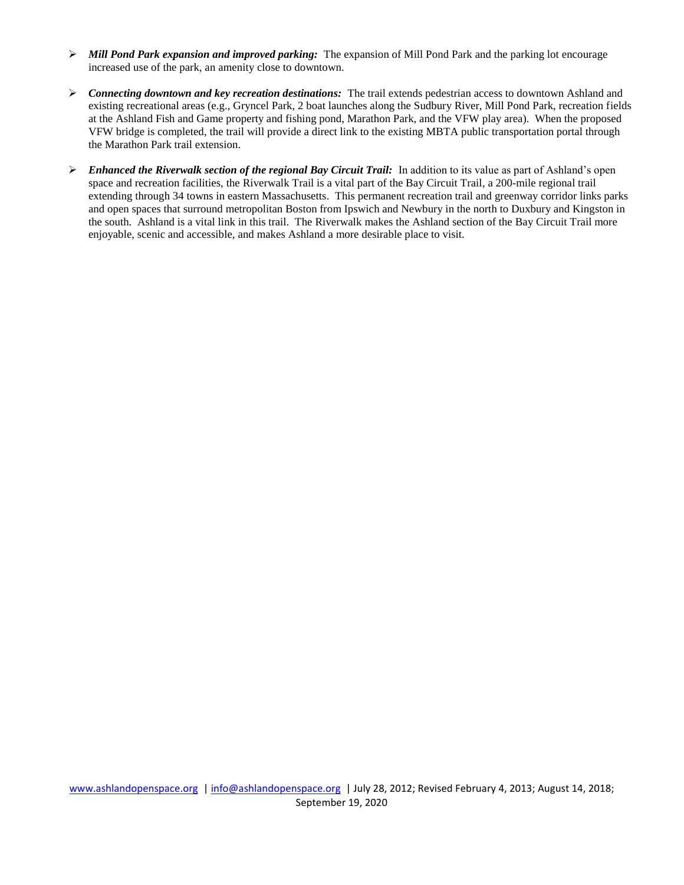- *Mill Pond Park expansion and improved parking:* The expansion of Mill Pond Park and the parking lot encourage increased use of the park, an amenity close to downtown.
- *Connecting downtown and key recreation destinations:* The trail extends pedestrian access to downtown Ashland and existing recreational areas (e.g., Gryncel Park, 2 boat launches along the Sudbury River, Mill Pond Park, recreation fields at the Ashland Fish and Game property and fishing pond, Marathon Park, and the VFW play area). When the proposed VFW bridge is completed, the trail will provide a direct link to the existing MBTA public transportation portal through the Marathon Park trail extension.
- *Enhanced the Riverwalk section of the regional Bay Circuit Trail:* In addition to its value as part of Ashland's open space and recreation facilities, the Riverwalk Trail is a vital part of the Bay Circuit Trail, a 200-mile regional trail extending through 34 towns in eastern Massachusetts. This permanent recreation trail and greenway corridor links parks and open spaces that surround metropolitan Boston from Ipswich and Newbury in the north to Duxbury and Kingston in the south. Ashland is a vital link in this trail. The Riverwalk makes the Ashland section of the Bay Circuit Trail more enjoyable, scenic and accessible, and makes Ashland a more desirable place to visit.